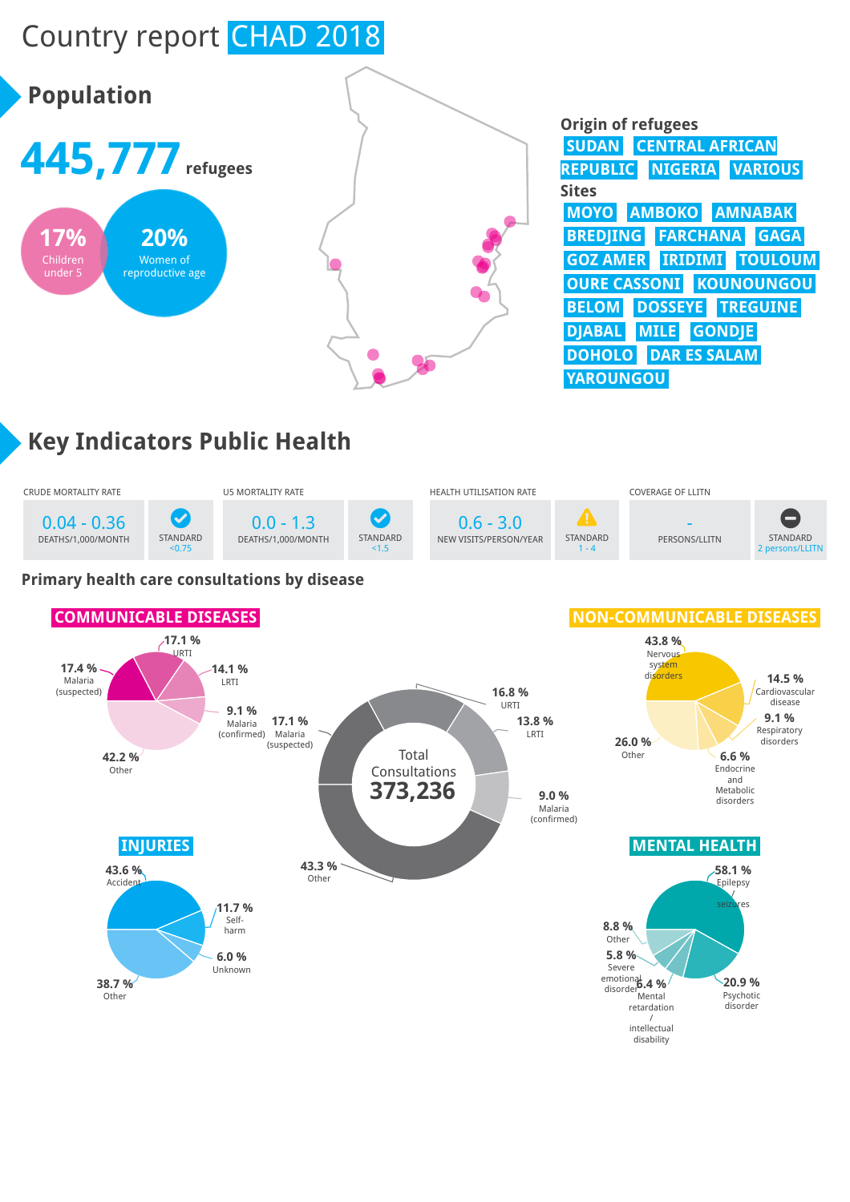# Country report CHAD 2018



| <b>Origin of refugees</b>                 |
|-------------------------------------------|
| <b>CENTRAL AFRICAN</b><br><b>SUDAN</b>    |
| <b>REPUBLIC</b><br><b>NIGERIA VARIOUS</b> |
| <b>Sites</b>                              |
| MOYO AMBOKO AMNABAK                       |
| <b>FARCHANA GAGA</b><br><b>BREDJING</b>   |
| <b>GOZ AMER IRIDIMI TOULOUM</b>           |
| <b>OURE CASSONI KOUNOUNGOU</b>            |
| <b>DOSSEYE TREGUINE</b><br><b>BELOM</b>   |
| <b>DJABAL</b> MILE<br><b>GONDIE</b>       |
| <b>DOHOLO</b> DAR ES SALAM                |
| <b>YAROUNGOU</b>                          |

# **Key Indicators Public Health**



#### **Primary health care consultations by disease**

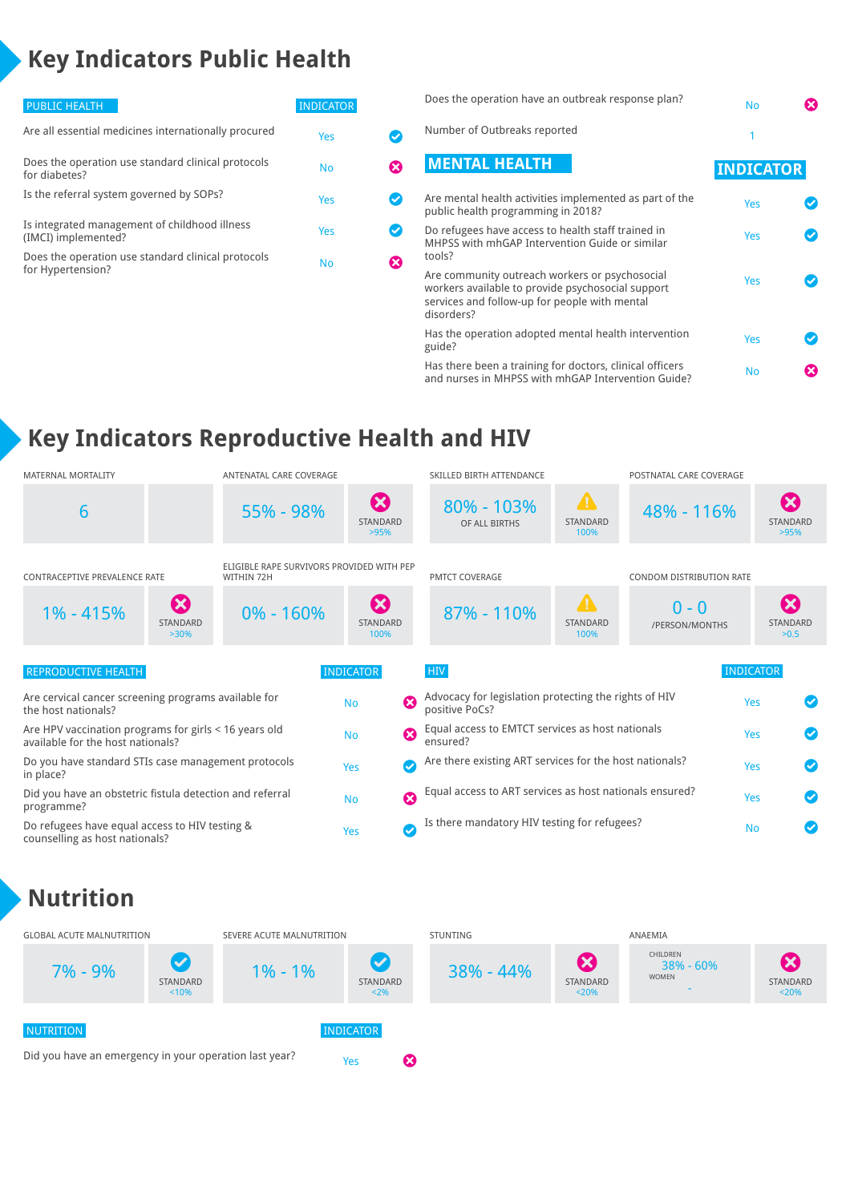# **Key Indicators Public Health**

| <b>PUBLIC HEALTH</b>                                                    | <b>INDICATOR</b> |    |
|-------------------------------------------------------------------------|------------------|----|
| Are all essential medicines internationally procured                    | Yes              |    |
| Does the operation use standard clinical protocols<br>for diabetes?     | No               | X) |
| Is the referral system governed by SOPs?                                | Yes              |    |
| Is integrated management of childhood illness<br>(IMCI) implemented?    | Yes              |    |
| Does the operation use standard clinical protocols<br>for Hypertension? | No               |    |
|                                                                         |                  |    |

| Does the operation have an outbreak response plan?                                                                                                                 | <b>No</b>        |  |
|--------------------------------------------------------------------------------------------------------------------------------------------------------------------|------------------|--|
| Number of Outbreaks reported                                                                                                                                       |                  |  |
| <b>MENTAL HEALTH</b>                                                                                                                                               | <b>INDICATOR</b> |  |
| Are mental health activities implemented as part of the<br>public health programming in 2018?                                                                      | Yes              |  |
| Do refugees have access to health staff trained in<br>MHPSS with mhGAP Intervention Guide or similar<br>tools?                                                     | Yes              |  |
| Are community outreach workers or psychosocial<br>workers available to provide psychosocial support<br>services and follow-up for people with mental<br>disorders? | Yes              |  |
| Has the operation adopted mental health intervention<br>guide?                                                                                                     | Yes              |  |
| Has there been a training for doctors, clinical officers<br>and nurses in MHPSS with mhGAP Intervention Guide?                                                     | <b>No</b>        |  |

### **Key Indicators Reproductive Health and HIV**

| <b>MATERNAL MORTALITY</b>                                                                  | ANTENATAL CARE COVERAGE                                 |                                                         | SKILLED BIRTH ATTENDANCE                                                |                                             | POSTNATAL CARE COVERAGE   |                                                      |
|--------------------------------------------------------------------------------------------|---------------------------------------------------------|---------------------------------------------------------|-------------------------------------------------------------------------|---------------------------------------------|---------------------------|------------------------------------------------------|
| 6                                                                                          | 55% - 98%                                               | $\boldsymbol{\Omega}$<br>STANDARD<br>>95%               | $80\% - 103\%$<br>OF ALL BIRTHS                                         | $\blacktriangle$<br>STANDARD<br>100%        | 48% - 116%                | $\boldsymbol{\Omega}$<br>STANDARD<br>>95%            |
| <b>CONTRACEPTIVE PREVALENCE RATE</b>                                                       | ELIGIBLE RAPE SURVIVORS PROVIDED WITH PEP<br>WITHIN 72H |                                                         | <b>PMTCT COVERAGE</b>                                                   |                                             | CONDOM DISTRIBUTION RATE  |                                                      |
| $\boldsymbol{\Omega}$<br>1% - 415%<br>STANDARD<br>$>30\%$                                  | $0\% - 160\%$                                           | $\boldsymbol{\Omega}$<br><b>STANDARD</b><br>100%        | 87% - 110%                                                              | $\blacktriangle$<br><b>STANDARD</b><br>100% | $0 - 0$<br>/PERSON/MONTHS | $\boldsymbol{\mathbf{X}}$<br><b>STANDARD</b><br>>0.5 |
| <b>REPRODUCTIVE HEALTH</b>                                                                 |                                                         | <b>INDICATOR</b>                                        | <b>HIV</b>                                                              |                                             |                           | <b>INDICATOR</b>                                     |
| Are cervical cancer screening programs available for<br>the host nationals?                |                                                         | $\boldsymbol{\Omega}$<br><b>No</b>                      | Advocacy for legislation protecting the rights of HIV<br>positive PoCs? |                                             |                           | Yes                                                  |
| Are HPV vaccination programs for girls < 16 years old<br>available for the host nationals? |                                                         | $\boldsymbol{\Omega}$<br><b>No</b>                      | Equal access to EMTCT services as host nationals<br>ensured?            |                                             |                           | Yes                                                  |
| Do you have standard STIs case management protocols<br>in place?                           | $\boldsymbol{\sigma}$<br>Yes                            | Are there existing ART services for the host nationals? |                                                                         |                                             | Yes                       |                                                      |
| Did you have an obstetric fistula detection and referral<br>programme?                     | $\boldsymbol{\Omega}$<br><b>No</b>                      | Equal access to ART services as host nationals ensured? |                                                                         |                                             | Yes                       |                                                      |
| Do refugees have equal access to HIV testing &<br>counselling as host nationals?           |                                                         | Ø<br>Yes                                                | Is there mandatory HIV testing for refugees?                            |                                             |                           | <b>No</b>                                            |

#### **Nutrition**